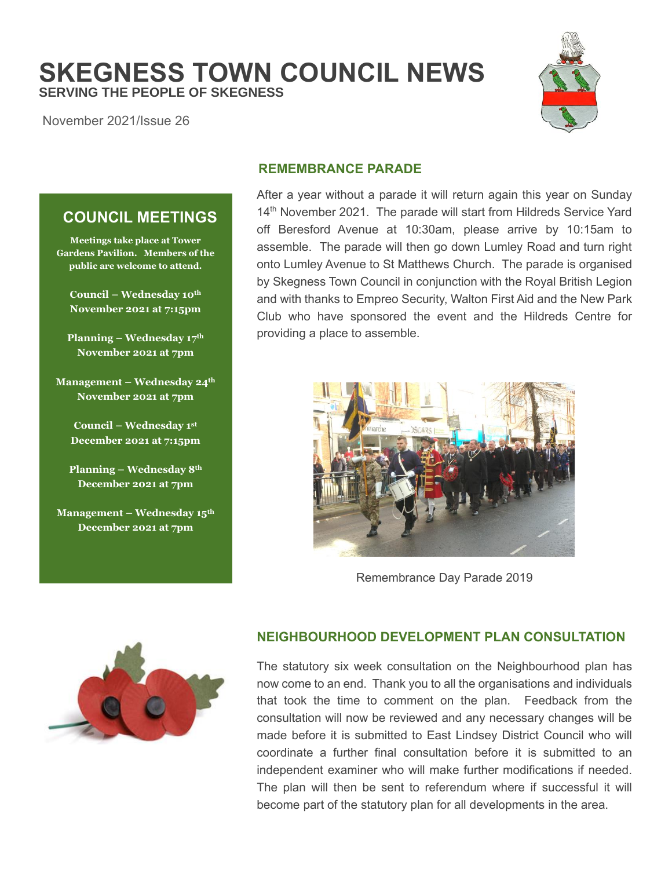**SKEGNESS TOWN COUNCIL NEWS SERVING THE PEOPLE OF SKEGNESS**

November 2021/Issue 26



# **COUNCIL MEETINGS**

**Meetings take place at Tower Gardens Pavilion. Members of the public are welcome to attend.**

**Council – Wednesday 10th November 2021 at 7:15pm**

**Planning – Wednesday 17 th November 2021 at 7pm**

**Management – Wednesday 24th November 2021 at 7pm**

**Council – Wednesday 1 st December 2021 at 7:15pm**

**Planning – Wednesday 8th December 2021 at 7pm**

**Management – Wednesday 15th December 2021 at 7pm**

# **REMEMBRANCE PARADE**

After a year without a parade it will return again this year on Sunday 14<sup>th</sup> November 2021. The parade will start from Hildreds Service Yard off Beresford Avenue at 10:30am, please arrive by 10:15am to assemble. The parade will then go down Lumley Road and turn right onto Lumley Avenue to St Matthews Church. The parade is organised by Skegness Town Council in conjunction with the Royal British Legion and with thanks to Empreo Security, Walton First Aid and the New Park Club who have sponsored the event and the Hildreds Centre for providing a place to assemble.



Remembrance Day Parade 2019



# **NEIGHBOURHOOD DEVELOPMENT PLAN CONSULTATION**

The statutory six week consultation on the Neighbourhood plan has now come to an end. Thank you to all the organisations and individuals that took the time to comment on the plan. Feedback from the consultation will now be reviewed and any necessary changes will be made before it is submitted to East Lindsey District Council who will coordinate a further final consultation before it is submitted to an independent examiner who will make further modifications if needed. The plan will then be sent to referendum where if successful it will become part of the statutory plan for all developments in the area.